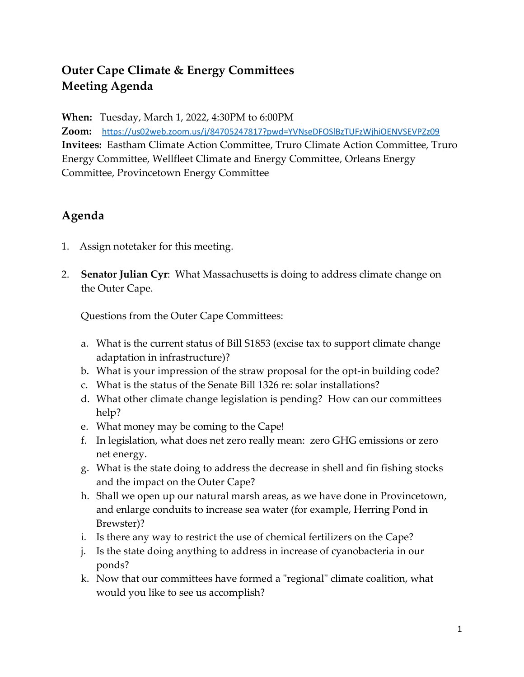## **Outer Cape Climate & Energy Committees Meeting Agenda**

**When:** Tuesday, March 1, 2022, 4:30PM to 6:00PM

**Zoom:** <https://us02web.zoom.us/j/84705247817?pwd=YVNseDFOSlBzTUFzWjhiOENVSEVPZz09> **Invitees:** Eastham Climate Action Committee, Truro Climate Action Committee, Truro Energy Committee, Wellfleet Climate and Energy Committee, Orleans Energy Committee, Provincetown Energy Committee

## **Agenda**

- 1. Assign notetaker for this meeting.
- 2. **Senator Julian Cyr**: What Massachusetts is doing to address climate change on the Outer Cape.

Questions from the Outer Cape Committees:

- a. What is the current status of Bill S1853 (excise tax to support climate change adaptation in infrastructure)?
- b. What is your impression of the straw proposal for the opt-in building code?
- c. What is the status of the Senate Bill 1326 re: solar installations?
- d. What other climate change legislation is pending? How can our committees help?
- e. What money may be coming to the Cape!
- f. In legislation, what does net zero really mean: zero GHG emissions or zero net energy.
- g. What is the state doing to address the decrease in shell and fin fishing stocks and the impact on the Outer Cape?
- h. Shall we open up our natural marsh areas, as we have done in Provincetown, and enlarge conduits to increase sea water (for example, Herring Pond in Brewster)?
- i. Is there any way to restrict the use of chemical fertilizers on the Cape?
- j. Is the state doing anything to address in increase of cyanobacteria in our ponds?
- k. Now that our committees have formed a "regional" climate coalition, what would you like to see us accomplish?